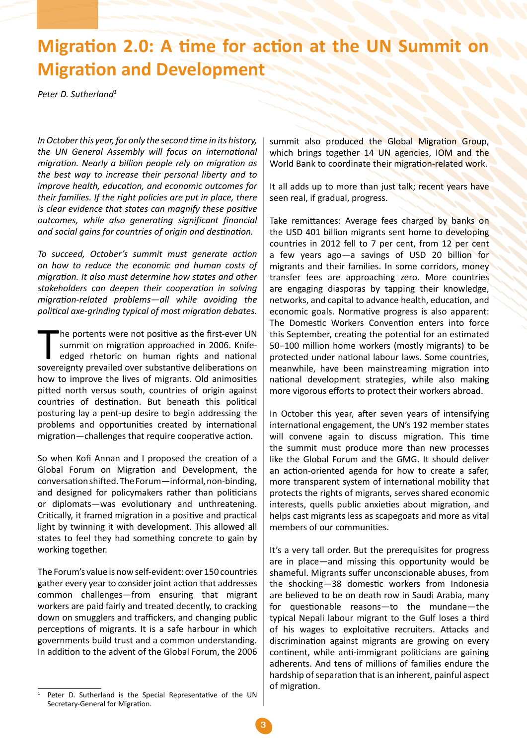## **Migration 2.0: A time for action at the UN Summit on Migration and Development**

*Peter D. Sutherland1*

*In October this year, for only the second time in its history, the UN General Assembly will focus on international migration. Nearly a billion people rely on migration as the best way to increase their personal liberty and to improve health, education, and economic outcomes for their families. If the right policies are put in place, there is clear evidence that states can magnify these positive outcomes, while also generating significant financial and social gains for countries of origin and destination.*

*To succeed, October's summit must generate action on how to reduce the economic and human costs of migration. It also must determine how states and other stakeholders can deepen their cooperation in solving migration-related problems—all while avoiding the political axe-grinding typical of most migration debates.*

T he portents were not positive as the first-ever UN summit on migration approached in 2006. Knifeedged rhetoric on human rights and national sovereignty prevailed over substantive deliberations on how to improve the lives of migrants. Old animosities pitted north versus south, countries of origin against countries of destination. But beneath this political posturing lay a pent-up desire to begin addressing the problems and opportunities created by international migration—challenges that require cooperative action.

So when Kofi Annan and I proposed the creation of a Global Forum on Migration and Development, the conversation shifted. The Forum—informal, non-binding, and designed for policymakers rather than politicians or diplomats—was evolutionary and unthreatening. Critically, it framed migration in a positive and practical light by twinning it with development. This allowed all states to feel they had something concrete to gain by working together.

The Forum's value is now self-evident: over 150 countries gather every year to consider joint action that addresses common challenges—from ensuring that migrant workers are paid fairly and treated decently, to cracking down on smugglers and traffickers, and changing public perceptions of migrants. It is a safe harbour in which governments build trust and a common understanding. In addition to the advent of the Global Forum, the 2006 summit also produced the Global Migration Group, which brings together 14 UN agencies, IOM and the World Bank to coordinate their migration-related work.

It all adds up to more than just talk; recent years have seen real, if gradual, progress.

Take remittances: Average fees charged by banks on the USD 401 billion migrants sent home to developing countries in 2012 fell to 7 per cent, from 12 per cent a few years ago—a savings of USD 20 billion for migrants and their families. In some corridors, money transfer fees are approaching zero. More countries are engaging diasporas by tapping their knowledge, networks, and capital to advance health, education, and economic goals. Normative progress is also apparent: The Domestic Workers Convention enters into force this September, creating the potential for an estimated 50–100 million home workers (mostly migrants) to be protected under national labour laws. Some countries, meanwhile, have been mainstreaming migration into national development strategies, while also making more vigorous efforts to protect their workers abroad.

In October this year, after seven years of intensifying international engagement, the UN's 192 member states will convene again to discuss migration. This time the summit must produce more than new processes like the Global Forum and the GMG. It should deliver an action-oriented agenda for how to create a safer, more transparent system of international mobility that protects the rights of migrants, serves shared economic interests, quells public anxieties about migration, and helps cast migrants less as scapegoats and more as vital members of our communities.

It's a very tall order. But the prerequisites for progress are in place—and missing this opportunity would be shameful. Migrants suffer unconscionable abuses, from the shocking—38 domestic workers from Indonesia are believed to be on death row in Saudi Arabia, many for questionable reasons—to the mundane—the typical Nepali labour migrant to the Gulf loses a third of his wages to exploitative recruiters. Attacks and discrimination against migrants are growing on every continent, while anti-immigrant politicians are gaining adherents. And tens of millions of families endure the hardship of separation that is an inherent, painful aspect of migration.

Peter D. Sutherland is the Special Representative of the UN Secretary-General for Migration.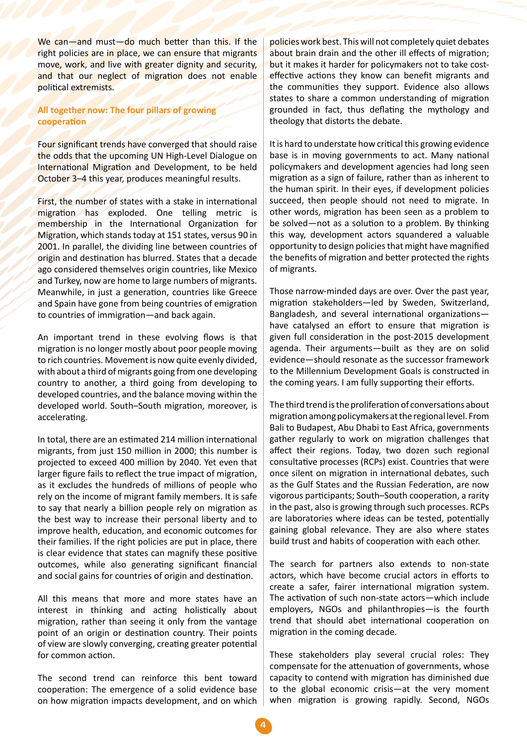We can—and must—do much better than this. If the right policies are in place, we can ensure that migrants move, work, and live with greater dignity and security, and that our neglect of migration does not enable political extremists.

**All together now: The four pillars of growing cooperation**

Four significant trends have converged that should raise the odds that the upcoming UN High-Level Dialogue on International Migration and Development, to be held October 3–4 this year, produces meaningful results.

First, the number of states with a stake in international migration has exploded. One telling metric is membership in the International Organization for Migration, which stands today at 151 states, versus 90 in 2001. In parallel, the dividing line between countries of origin and destination has blurred. States that a decade ago considered themselves origin countries, like Mexico and Turkey, now are home to large numbers of migrants. Meanwhile, in just a generation, countries like Greece and Spain have gone from being countries of emigration to countries of immigration—and back again.

An important trend in these evolving flows is that migration is no longer mostly about poor people moving to rich countries. Movement is now quite evenly divided, with about a third of migrants going from one developing country to another, a third going from developing to developed countries, and the balance moving within the developed world. South–South migration, moreover, is accelerating.

In total, there are an estimated 214 million international migrants, from just 150 million in 2000; this number is projected to exceed 400 million by 2040. Yet even that larger figure fails to reflect the true impact of migration, as it excludes the hundreds of millions of people who rely on the income of migrant family members. It is safe to say that nearly a billion people rely on migration as the best way to increase their personal liberty and to improve health, education, and economic outcomes for their families. If the right policies are put in place, there is clear evidence that states can magnify these positive outcomes, while also generating significant financial and social gains for countries of origin and destination.

All this means that more and more states have an interest in thinking and acting holistically about migration, rather than seeing it only from the vantage point of an origin or destination country. Their points of view are slowly converging, creating greater potential for common action.

The second trend can reinforce this bent toward cooperation: The emergence of a solid evidence base on how migration impacts development, and on which policies work best. This will not completely quiet debates about brain drain and the other ill effects of migration; but it makes it harder for policymakers not to take costeffective actions they know can benefit migrants and the communities they support. Evidence also allows states to share a common understanding of migration grounded in fact, thus deflating the mythology and theology that distorts the debate.

It is hard to understate how critical this growing evidence base is in moving governments to act. Many national policymakers and development agencies had long seen migration as a sign of failure, rather than as inherent to the human spirit. In their eyes, if development policies succeed, then people should not need to migrate. In other words, migration has been seen as a problem to be solved—not as a solution to a problem. By thinking this way, development actors squandered a valuable opportunity to design policies that might have magnified the benefits of migration and better protected the rights of migrants.

Those narrow-minded days are over. Over the past year, migration stakeholders—led by Sweden, Switzerland, Bangladesh, and several international organizations have catalysed an effort to ensure that migration is given full consideration in the post-2015 development agenda. Their arguments—built as they are on solid evidence—should resonate as the successor framework to the Millennium Development Goals is constructed in the coming years. I am fully supporting their efforts.

The third trend is the proliferation of conversations about migration among policymakers at the regional level. From Bali to Budapest, Abu Dhabi to East Africa, governments gather regularly to work on migration challenges that affect their regions. Today, two dozen such regional consultative processes (RCPs) exist. Countries that were once silent on migration in international debates, such as the Gulf States and the Russian Federation, are now vigorous participants; South–South cooperation, a rarity in the past, also is growing through such processes. RCPs are laboratories where ideas can be tested, potentially gaining global relevance. They are also where states build trust and habits of cooperation with each other.

The search for partners also extends to non-state actors, which have become crucial actors in efforts to create a safer, fairer international migration system. The activation of such non-state actors—which include employers, NGOs and philanthropies—is the fourth trend that should abet international cooperation on migration in the coming decade.

These stakeholders play several crucial roles: They compensate for the attenuation of governments, whose capacity to contend with migration has diminished due to the global economic crisis—at the very moment when migration is growing rapidly. Second, NGOs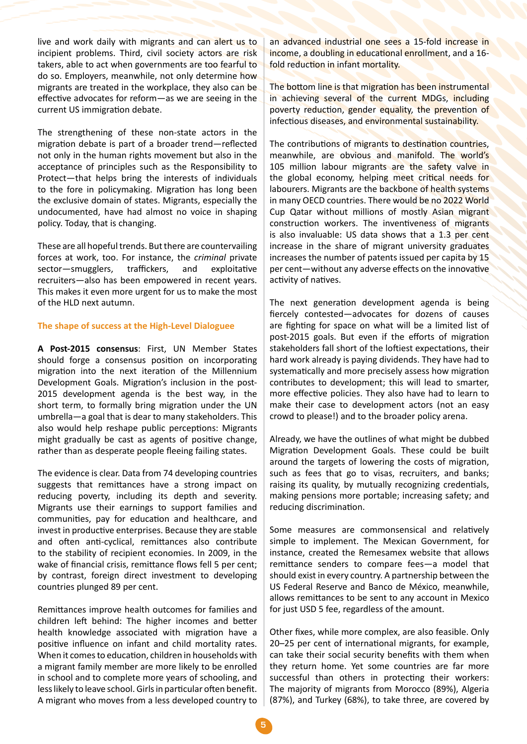live and work daily with migrants and can alert us to incipient problems. Third, civil society actors are risk takers, able to act when governments are too fearful to do so. Employers, meanwhile, not only determine how migrants are treated in the workplace, they also can be effective advocates for reform—as we are seeing in the current US immigration debate.

The strengthening of these non-state actors in the migration debate is part of a broader trend—reflected not only in the human rights movement but also in the acceptance of principles such as the Responsibility to Protect—that helps bring the interests of individuals to the fore in policymaking. Migration has long been the exclusive domain of states. Migrants, especially the undocumented, have had almost no voice in shaping policy. Today, that is changing.

These are all hopeful trends. But there are countervailing forces at work, too. For instance, the *criminal* private sector—smugglers, traffickers, and exploitative recruiters—also has been empowered in recent years. This makes it even more urgent for us to make the most of the HLD next autumn.

## **The shape of success at the High-Level Dialoguee**

**A Post-2015 consensus**: First, UN Member States should forge a consensus position on incorporating migration into the next iteration of the Millennium Development Goals. Migration's inclusion in the post-2015 development agenda is the best way, in the short term, to formally bring migration under the UN umbrella—a goal that is dear to many stakeholders. This also would help reshape public perceptions: Migrants might gradually be cast as agents of positive change, rather than as desperate people fleeing failing states.

The evidence is clear. Data from 74 developing countries suggests that remittances have a strong impact on reducing poverty, including its depth and severity. Migrants use their earnings to support families and communities, pay for education and healthcare, and invest in productive enterprises. Because they are stable and often anti-cyclical, remittances also contribute to the stability of recipient economies. In 2009, in the wake of financial crisis, remittance flows fell 5 per cent; by contrast, foreign direct investment to developing countries plunged 89 per cent.

Remittances improve health outcomes for families and children left behind: The higher incomes and better health knowledge associated with migration have a positive influence on infant and child mortality rates. When it comes to education, children in households with a migrant family member are more likely to be enrolled in school and to complete more years of schooling, and less likely to leave school. Girls in particular often benefit. A migrant who moves from a less developed country to an advanced industrial one sees a 15-fold increase in income, a doubling in educational enrollment, and a 16 fold reduction in infant mortality.

The bottom line is that migration has been instrumental in achieving several of the current MDGs, including poverty reduction, gender equality, the prevention of infectious diseases, and environmental sustainability.

The contributions of migrants to destination countries, meanwhile, are obvious and manifold. The world's 105 million labour migrants are the safety valve in the global economy, helping meet critical needs for labourers. Migrants are the backbone of health systems in many OECD countries. There would be no 2022 World Cup Qatar without millions of mostly Asian migrant construction workers. The inventiveness of migrants is also invaluable: US data shows that a 1.3 per cent increase in the share of migrant university graduates increases the number of patents issued per capita by 15 per cent—without any adverse effects on the innovative activity of natives.

The next generation development agenda is being fiercely contested—advocates for dozens of causes are fighting for space on what will be a limited list of post-2015 goals. But even if the efforts of migration stakeholders fall short of the loftiest expectations, their hard work already is paying dividends. They have had to systematically and more precisely assess how migration contributes to development; this will lead to smarter, more effective policies. They also have had to learn to make their case to development actors (not an easy crowd to please!) and to the broader policy arena.

Already, we have the outlines of what might be dubbed Migration Development Goals. These could be built around the targets of lowering the costs of migration, such as fees that go to visas, recruiters, and banks; raising its quality, by mutually recognizing credentials, making pensions more portable; increasing safety; and reducing discrimination.

Some measures are commonsensical and relatively simple to implement. The Mexican Government, for instance, created the Remesamex website that allows remittance senders to compare fees—a model that should exist in every country. A partnership between the US Federal Reserve and Banco de México, meanwhile, allows remittances to be sent to any account in Mexico for just USD 5 fee, regardless of the amount.

Other fixes, while more complex, are also feasible. Only 20–25 per cent of international migrants, for example, can take their social security benefits with them when they return home. Yet some countries are far more successful than others in protecting their workers: The majority of migrants from Morocco (89%), Algeria (87%), and Turkey (68%), to take three, are covered by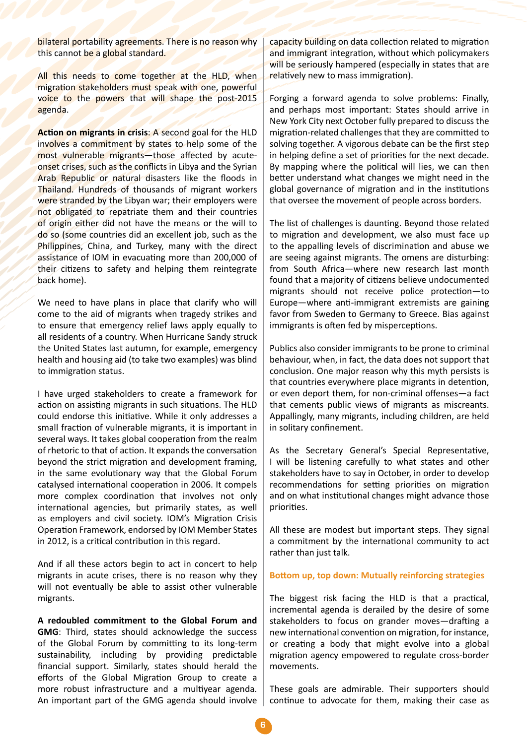bilateral portability agreements. There is no reason why this cannot be a global standard.

All this needs to come together at the HLD, when migration stakeholders must speak with one, powerful voice to the powers that will shape the post-2015 agenda.

**Action on migrants in crisis**: A second goal for the HLD involves a commitment by states to help some of the most vulnerable migrants—those affected by acuteonset crises, such as the conflicts in Libya and the Syrian Arab Republic or natural disasters like the floods in Thailand. Hundreds of thousands of migrant workers were stranded by the Libyan war; their employers were not obligated to repatriate them and their countries of origin either did not have the means or the will to do so (some countries did an excellent job, such as the Philippines, China, and Turkey, many with the direct assistance of IOM in evacuating more than 200,000 of their citizens to safety and helping them reintegrate back home).

We need to have plans in place that clarify who will come to the aid of migrants when tragedy strikes and to ensure that emergency relief laws apply equally to all residents of a country. When Hurricane Sandy struck the United States last autumn, for example, emergency health and housing aid (to take two examples) was blind to immigration status.

I have urged stakeholders to create a framework for action on assisting migrants in such situations. The HLD could endorse this initiative. While it only addresses a small fraction of vulnerable migrants, it is important in several ways. It takes global cooperation from the realm of rhetoric to that of action. It expands the conversation beyond the strict migration and development framing, in the same evolutionary way that the Global Forum catalysed international cooperation in 2006. It compels more complex coordination that involves not only international agencies, but primarily states, as well as employers and civil society. IOM's Migration Crisis Operation Framework, endorsed by IOM Member States in 2012, is a critical contribution in this regard.

And if all these actors begin to act in concert to help migrants in acute crises, there is no reason why they will not eventually be able to assist other vulnerable migrants.

**A redoubled commitment to the Global Forum and GMG**: Third, states should acknowledge the success of the Global Forum by committing to its long-term sustainability, including by providing predictable financial support. Similarly, states should herald the efforts of the Global Migration Group to create a more robust infrastructure and a multiyear agenda. An important part of the GMG agenda should involve capacity building on data collection related to migration and immigrant integration, without which policymakers will be seriously hampered (especially in states that are relatively new to mass immigration).

Forging a forward agenda to solve problems: Finally, and perhaps most important: States should arrive in New York City next October fully prepared to discuss the migration-related challenges that they are committed to solving together. A vigorous debate can be the first step in helping define a set of priorities for the next decade. By mapping where the political will lies, we can then better understand what changes we might need in the global governance of migration and in the institutions that oversee the movement of people across borders.

The list of challenges is daunting. Beyond those related to migration and development, we also must face up to the appalling levels of discrimination and abuse we are seeing against migrants. The omens are disturbing: from South Africa—where new research last month found that a majority of citizens believe undocumented migrants should not receive police protection—to Europe—where anti-immigrant extremists are gaining favor from Sweden to Germany to Greece. Bias against immigrants is often fed by misperceptions.

Publics also consider immigrants to be prone to criminal behaviour, when, in fact, the data does not support that conclusion. One major reason why this myth persists is that countries everywhere place migrants in detention, or even deport them, for non-criminal offenses—a fact that cements public views of migrants as miscreants. Appallingly, many migrants, including children, are held in solitary confinement.

As the Secretary General's Special Representative, I will be listening carefully to what states and other stakeholders have to say in October, in order to develop recommendations for setting priorities on migration and on what institutional changes might advance those priorities.

All these are modest but important steps. They signal a commitment by the international community to act rather than just talk.

## **Bottom up, top down: Mutually reinforcing strategies**

The biggest risk facing the HLD is that a practical, incremental agenda is derailed by the desire of some stakeholders to focus on grander moves—drafting a new international convention on migration, for instance, or creating a body that might evolve into a global migration agency empowered to regulate cross-border movements.

These goals are admirable. Their supporters should continue to advocate for them, making their case as